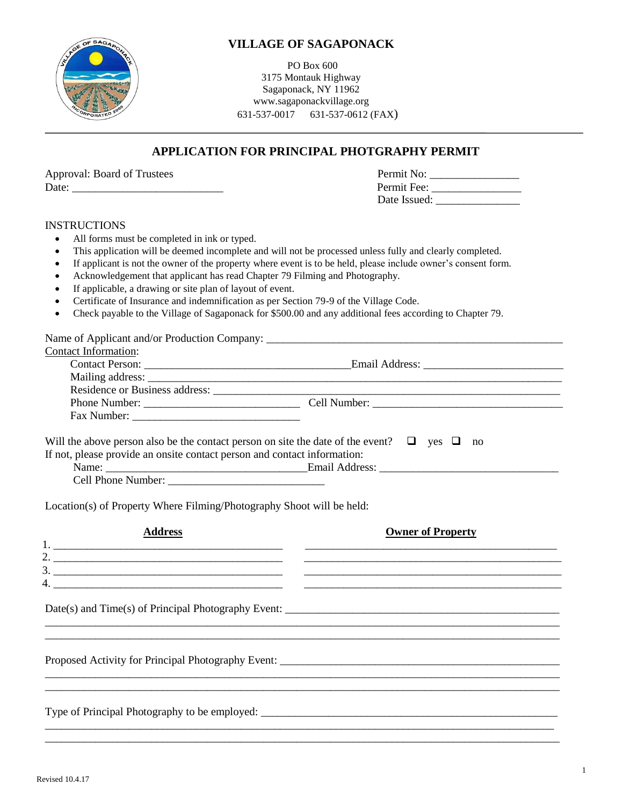

### **VILLAGE OF SAGAPONACK**

PO Box 600 3175 Montauk Highway Sagaponack, NY 11962 www.sagaponackvillage.org 631-537-0017 631-537-0612 (FAX)

### **APPLICATION FOR PRINCIPAL PHOTGRAPHY PERMIT**

|       | <b>Approval: Board of Trustees</b> |  |
|-------|------------------------------------|--|
| Date: |                                    |  |

| <b>Approval: Board of Trustees</b> | Permit No:   |
|------------------------------------|--------------|
| Date:                              | Permit Fee:  |
|                                    | Date Issued: |

#### INSTRUCTIONS

- All forms must be completed in ink or typed.
- This application will be deemed incomplete and will not be processed unless fully and clearly completed.
- If applicant is not the owner of the property where event is to be held, please include owner's consent form.
- Acknowledgement that applicant has read Chapter 79 Filming and Photography.
- If applicable, a drawing or site plan of layout of event.
- Certificate of Insurance and indemnification as per Section 79-9 of the Village Code.
- Check payable to the Village of Sagaponack for \$500.00 and any additional fees according to Chapter 79.

Name of Applicant and/or Production Company:

|  |  | Contact Information: |
|--|--|----------------------|
|--|--|----------------------|

| Comací miormanón.<br><b>Contact Person:</b> | Email Address: |  |
|---------------------------------------------|----------------|--|
|                                             |                |  |
| Residence or Business address:              |                |  |
| Phone Number:                               | Cell Number:   |  |
| Fax Number:                                 |                |  |

| Will the above person also be the contact person on site the date of the event? $\Box$ yes $\Box$ |  | no |  |
|---------------------------------------------------------------------------------------------------|--|----|--|
| If not, please provide an onsite contact person and contact information:                          |  |    |  |
| Email Address:<br>Name:                                                                           |  |    |  |

Cell Phone Number:

Location(s) of Property Where Filming/Photography Shoot will be held:

| <b>Address</b>                                                                                                                                                                                                                                                                                                                                                                                                                                                                  | <b>Owner of Property</b> |
|---------------------------------------------------------------------------------------------------------------------------------------------------------------------------------------------------------------------------------------------------------------------------------------------------------------------------------------------------------------------------------------------------------------------------------------------------------------------------------|--------------------------|
|                                                                                                                                                                                                                                                                                                                                                                                                                                                                                 |                          |
| $\overline{\phantom{a}}$ . $\overline{\phantom{a}}$ . $\overline{\phantom{a}}$ . $\overline{\phantom{a}}$ . $\overline{\phantom{a}}$ . $\overline{\phantom{a}}$ . $\overline{\phantom{a}}$ . $\overline{\phantom{a}}$ . $\overline{\phantom{a}}$ . $\overline{\phantom{a}}$ . $\overline{\phantom{a}}$ . $\overline{\phantom{a}}$ . $\overline{\phantom{a}}$ . $\overline{\phantom{a}}$ . $\overline{\phantom{a}}$ . $\overline{\phantom{a}}$<br>$\frac{3}{2}$<br>$\frac{4}{2}$ |                          |
|                                                                                                                                                                                                                                                                                                                                                                                                                                                                                 |                          |
|                                                                                                                                                                                                                                                                                                                                                                                                                                                                                 |                          |
|                                                                                                                                                                                                                                                                                                                                                                                                                                                                                 |                          |
|                                                                                                                                                                                                                                                                                                                                                                                                                                                                                 |                          |

 $\overline{\phantom{a}}$  , and the contribution of the contribution of the contribution of the contribution of the contribution of the contribution of the contribution of the contribution of the contribution of the contribution of the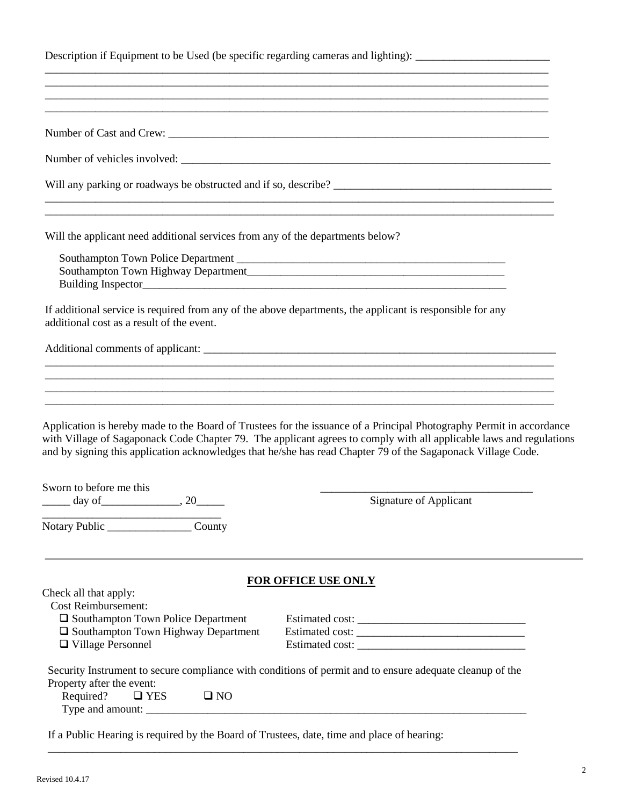| Description if Equipment to be Used (be specific regarding cameras and lighting): |  |  |
|-----------------------------------------------------------------------------------|--|--|
|                                                                                   |  |  |

 $\overline{\phantom{a}}$  , and the contribution of the contribution of the contribution of the contribution of the contribution of the contribution of the contribution of the contribution of the contribution of the contribution of the \_\_\_\_\_\_\_\_\_\_\_\_\_\_\_\_\_\_\_\_\_\_\_\_\_\_\_\_\_\_\_\_\_\_\_\_\_\_\_\_\_\_\_\_\_\_\_\_\_\_\_\_\_\_\_\_\_\_\_\_\_\_\_\_\_\_\_\_\_\_\_\_\_\_\_\_\_\_\_\_\_\_\_\_\_\_\_\_\_\_

| Will the applicant need additional services from any of the departments below?                                                   |                                                                                                                                                                                                                                                                                                                                                             |
|----------------------------------------------------------------------------------------------------------------------------------|-------------------------------------------------------------------------------------------------------------------------------------------------------------------------------------------------------------------------------------------------------------------------------------------------------------------------------------------------------------|
|                                                                                                                                  |                                                                                                                                                                                                                                                                                                                                                             |
| additional cost as a result of the event.                                                                                        | If additional service is required from any of the above departments, the applicant is responsible for any                                                                                                                                                                                                                                                   |
|                                                                                                                                  |                                                                                                                                                                                                                                                                                                                                                             |
|                                                                                                                                  |                                                                                                                                                                                                                                                                                                                                                             |
|                                                                                                                                  |                                                                                                                                                                                                                                                                                                                                                             |
|                                                                                                                                  |                                                                                                                                                                                                                                                                                                                                                             |
| Sworn to before me this                                                                                                          | Application is hereby made to the Board of Trustees for the issuance of a Principal Photography Permit in accordance<br>with Village of Sagaponack Code Chapter 79. The applicant agrees to comply with all applicable laws and regulations<br>and by signing this application acknowledges that he/she has read Chapter 79 of the Sagaponack Village Code. |
| $\frac{day \text{ of } }{x}$ , 20                                                                                                | Signature of Applicant                                                                                                                                                                                                                                                                                                                                      |
|                                                                                                                                  |                                                                                                                                                                                                                                                                                                                                                             |
| Check all that apply:                                                                                                            | <b>FOR OFFICE USE ONLY</b>                                                                                                                                                                                                                                                                                                                                  |
| <b>Cost Reimbursement:</b><br>□ Southampton Town Police Department<br>Southampton Town Highway Department<br>□ Village Personnel | Estimated cost:                                                                                                                                                                                                                                                                                                                                             |
| Property after the event:<br>Required?<br>$\Box$ YES<br>$\square$ NO                                                             | Security Instrument to secure compliance with conditions of permit and to ensure adequate cleanup of the                                                                                                                                                                                                                                                    |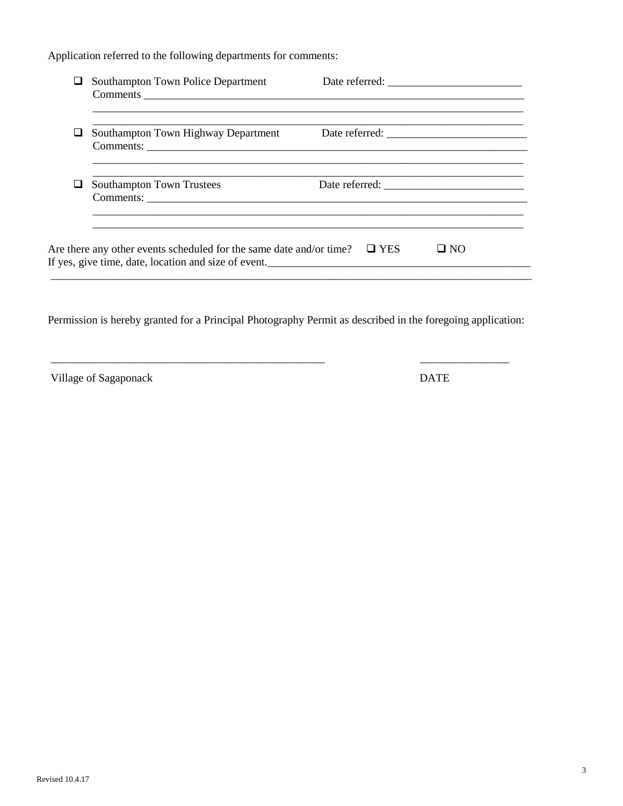Application referred to the following departments for comments:

|   | Southampton Town Police Department                                                                                          | Date referred:     |
|---|-----------------------------------------------------------------------------------------------------------------------------|--------------------|
|   | Southampton Town Highway Department                                                                                         |                    |
| ப | <b>Southampton Town Trustees</b>                                                                                            |                    |
|   | Are there any other events scheduled for the same date and/or time?<br>If yes, give time, date, location and size of event. | $\Box$ YES<br>⊟ NO |

Permission is hereby granted for a Principal Photography Permit as described in the foregoing application:

Village of Sagaponack DATE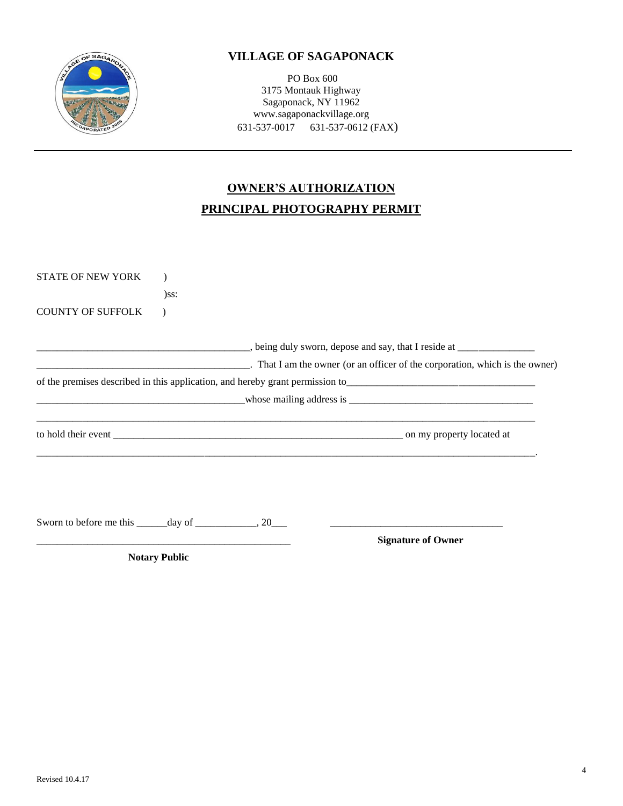

## **VILLAGE OF SAGAPONACK**

PO Box 600 3175 Montauk Highway Sagaponack, NY 11962 www.sagaponackvillage.org 631-537-0017 631-537-0612 (FAX)

# **OWNER'S AUTHORIZATION PRINCIPAL PHOTOGRAPHY PERMIT**

| <b>Notary Public</b>                                           |                                                                                                                 |                                                                                                                              |
|----------------------------------------------------------------|-----------------------------------------------------------------------------------------------------------------|------------------------------------------------------------------------------------------------------------------------------|
|                                                                | and the state of the state of the state of the state of the state of the state of the state of the state of the | <b>Signature of Owner</b>                                                                                                    |
| Sworn to before me this _______ day of _______________, 20____ |                                                                                                                 |                                                                                                                              |
|                                                                |                                                                                                                 |                                                                                                                              |
|                                                                |                                                                                                                 | $\blacksquare$ whose mailing address is $\blacksquare$ whose mailing address is $\blacksquare$                               |
|                                                                |                                                                                                                 |                                                                                                                              |
|                                                                |                                                                                                                 | $\blacksquare$ That I am the owner (or an officer of the corporation, which is the owner)                                    |
|                                                                |                                                                                                                 | <u>_________________________________</u> , being duly sworn, depose and say, that I reside at ______________________________ |
| <b>COUNTY OF SUFFOLK</b>                                       |                                                                                                                 |                                                                                                                              |
|                                                                | $)$ ss:                                                                                                         |                                                                                                                              |
| <b>STATE OF NEW YORK</b>                                       |                                                                                                                 |                                                                                                                              |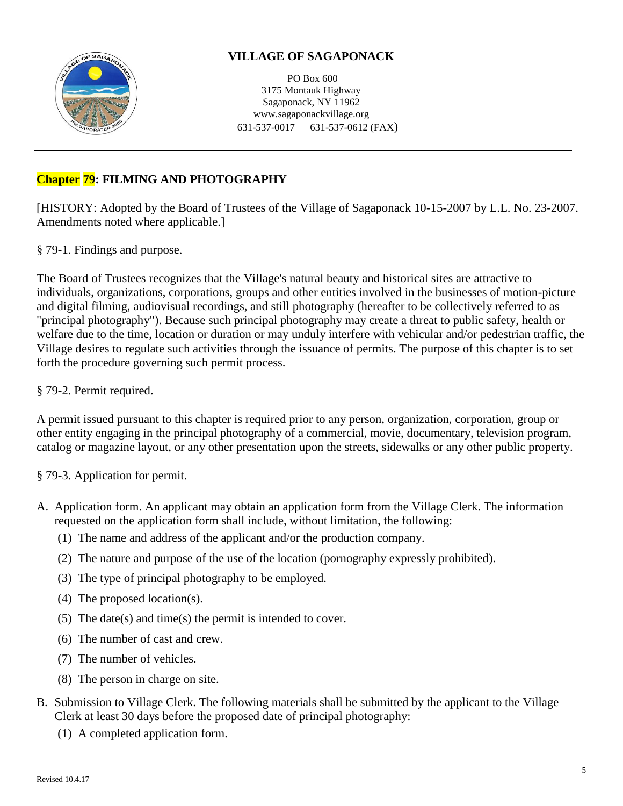

## **VILLAGE OF SAGAPONACK**

PO Box 600 3175 Montauk Highway Sagaponack, NY 11962 www.sagaponackvillage.org 631-537-0017 631-537-0612 (FAX)

# **Chapter 79: FILMING AND PHOTOGRAPHY**

[HISTORY: Adopted by the Board of Trustees of the Village of Sagaponack 10-15-2007 by L.L. No. 23-2007. Amendments noted where applicable.]

§ 79-1. Findings and purpose.

The Board of Trustees recognizes that the Village's natural beauty and historical sites are attractive to individuals, organizations, corporations, groups and other entities involved in the businesses of motion-picture and digital filming, audiovisual recordings, and still photography (hereafter to be collectively referred to as "principal photography"). Because such principal photography may create a threat to public safety, health or welfare due to the time, location or duration or may unduly interfere with vehicular and/or pedestrian traffic, the Village desires to regulate such activities through the issuance of permits. The purpose of this chapter is to set forth the procedure governing such permit process.

### § 79-2. Permit required.

A permit issued pursuant to this chapter is required prior to any person, organization, corporation, group or other entity engaging in the principal photography of a commercial, movie, documentary, television program, catalog or magazine layout, or any other presentation upon the streets, sidewalks or any other public property.

§ 79-3. Application for permit.

- A. Application form. An applicant may obtain an application form from the Village Clerk. The information requested on the application form shall include, without limitation, the following:
	- (1) The name and address of the applicant and/or the production company.
	- (2) The nature and purpose of the use of the location (pornography expressly prohibited).
	- (3) The type of principal photography to be employed.
	- (4) The proposed location(s).
	- (5) The date(s) and time(s) the permit is intended to cover.
	- (6) The number of cast and crew.
	- (7) The number of vehicles.
	- (8) The person in charge on site.
- B. Submission to Village Clerk. The following materials shall be submitted by the applicant to the Village Clerk at least 30 days before the proposed date of principal photography:
	- (1) A completed application form.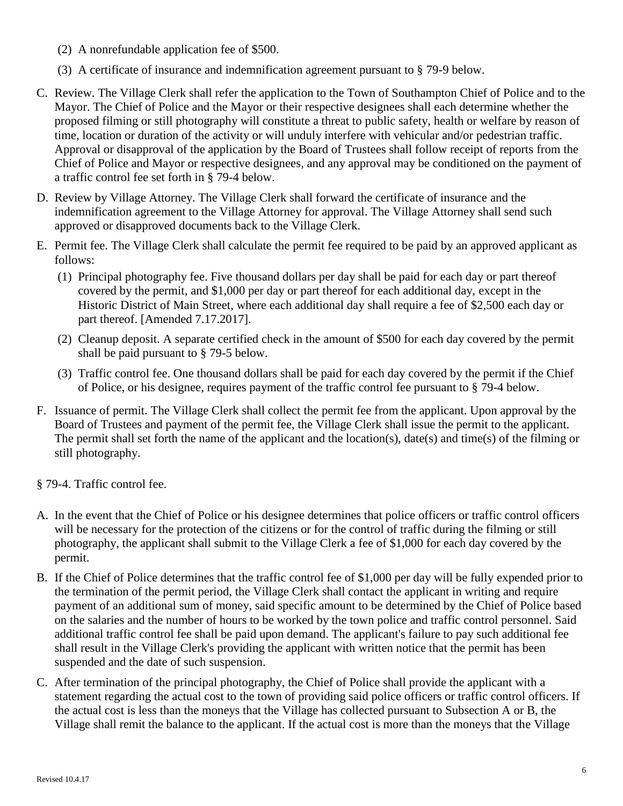- (2) A nonrefundable application fee of \$500.
- (3) A certificate of insurance and indemnification agreement pursuant to § 79-9 below.
- C. Review. The Village Clerk shall refer the application to the Town of Southampton Chief of Police and to the Mayor. The Chief of Police and the Mayor or their respective designees shall each determine whether the proposed filming or still photography will constitute a threat to public safety, health or welfare by reason of time, location or duration of the activity or will unduly interfere with vehicular and/or pedestrian traffic. Approval or disapproval of the application by the Board of Trustees shall follow receipt of reports from the Chief of Police and Mayor or respective designees, and any approval may be conditioned on the payment of a traffic control fee set forth in § 79-4 below.
- D. Review by Village Attorney. The Village Clerk shall forward the certificate of insurance and the indemnification agreement to the Village Attorney for approval. The Village Attorney shall send such approved or disapproved documents back to the Village Clerk.
- E. Permit fee. The Village Clerk shall calculate the permit fee required to be paid by an approved applicant as follows:
	- (1) Principal photography fee. Five thousand dollars per day shall be paid for each day or part thereof covered by the permit, and \$1,000 per day or part thereof for each additional day, except in the Historic District of Main Street, where each additional day shall require a fee of \$2,500 each day or part thereof. [Amended 7.17.2017].
	- (2) Cleanup deposit. A separate certified check in the amount of \$500 for each day covered by the permit shall be paid pursuant to § 79-5 below.
	- (3) Traffic control fee. One thousand dollars shall be paid for each day covered by the permit if the Chief of Police, or his designee, requires payment of the traffic control fee pursuant to § 79-4 below.
- F. Issuance of permit. The Village Clerk shall collect the permit fee from the applicant. Upon approval by the Board of Trustees and payment of the permit fee, the Village Clerk shall issue the permit to the applicant. The permit shall set forth the name of the applicant and the location(s), date(s) and time(s) of the filming or still photography.
- § 79-4. Traffic control fee.
- A. In the event that the Chief of Police or his designee determines that police officers or traffic control officers will be necessary for the protection of the citizens or for the control of traffic during the filming or still photography, the applicant shall submit to the Village Clerk a fee of \$1,000 for each day covered by the permit.
- B. If the Chief of Police determines that the traffic control fee of \$1,000 per day will be fully expended prior to the termination of the permit period, the Village Clerk shall contact the applicant in writing and require payment of an additional sum of money, said specific amount to be determined by the Chief of Police based on the salaries and the number of hours to be worked by the town police and traffic control personnel. Said additional traffic control fee shall be paid upon demand. The applicant's failure to pay such additional fee shall result in the Village Clerk's providing the applicant with written notice that the permit has been suspended and the date of such suspension.
- C. After termination of the principal photography, the Chief of Police shall provide the applicant with a statement regarding the actual cost to the town of providing said police officers or traffic control officers. If the actual cost is less than the moneys that the Village has collected pursuant to Subsection A or B, the Village shall remit the balance to the applicant. If the actual cost is more than the moneys that the Village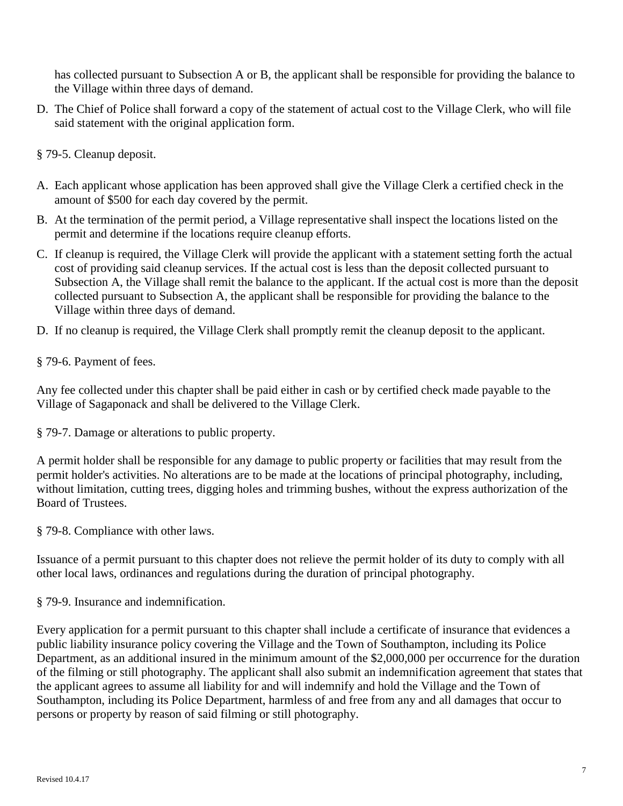has collected pursuant to Subsection A or B, the applicant shall be responsible for providing the balance to the Village within three days of demand.

- D. The Chief of Police shall forward a copy of the statement of actual cost to the Village Clerk, who will file said statement with the original application form.
- § 79-5. Cleanup deposit.
- A. Each applicant whose application has been approved shall give the Village Clerk a certified check in the amount of \$500 for each day covered by the permit.
- B. At the termination of the permit period, a Village representative shall inspect the locations listed on the permit and determine if the locations require cleanup efforts.
- C. If cleanup is required, the Village Clerk will provide the applicant with a statement setting forth the actual cost of providing said cleanup services. If the actual cost is less than the deposit collected pursuant to Subsection A, the Village shall remit the balance to the applicant. If the actual cost is more than the deposit collected pursuant to Subsection A, the applicant shall be responsible for providing the balance to the Village within three days of demand.
- D. If no cleanup is required, the Village Clerk shall promptly remit the cleanup deposit to the applicant.

§ 79-6. Payment of fees.

Any fee collected under this chapter shall be paid either in cash or by certified check made payable to the Village of Sagaponack and shall be delivered to the Village Clerk.

§ 79-7. Damage or alterations to public property.

A permit holder shall be responsible for any damage to public property or facilities that may result from the permit holder's activities. No alterations are to be made at the locations of principal photography, including, without limitation, cutting trees, digging holes and trimming bushes, without the express authorization of the Board of Trustees.

§ 79-8. Compliance with other laws.

Issuance of a permit pursuant to this chapter does not relieve the permit holder of its duty to comply with all other local laws, ordinances and regulations during the duration of principal photography.

§ 79-9. Insurance and indemnification.

Every application for a permit pursuant to this chapter shall include a certificate of insurance that evidences a public liability insurance policy covering the Village and the Town of Southampton, including its Police Department, as an additional insured in the minimum amount of the \$2,000,000 per occurrence for the duration of the filming or still photography. The applicant shall also submit an indemnification agreement that states that the applicant agrees to assume all liability for and will indemnify and hold the Village and the Town of Southampton, including its Police Department, harmless of and free from any and all damages that occur to persons or property by reason of said filming or still photography.